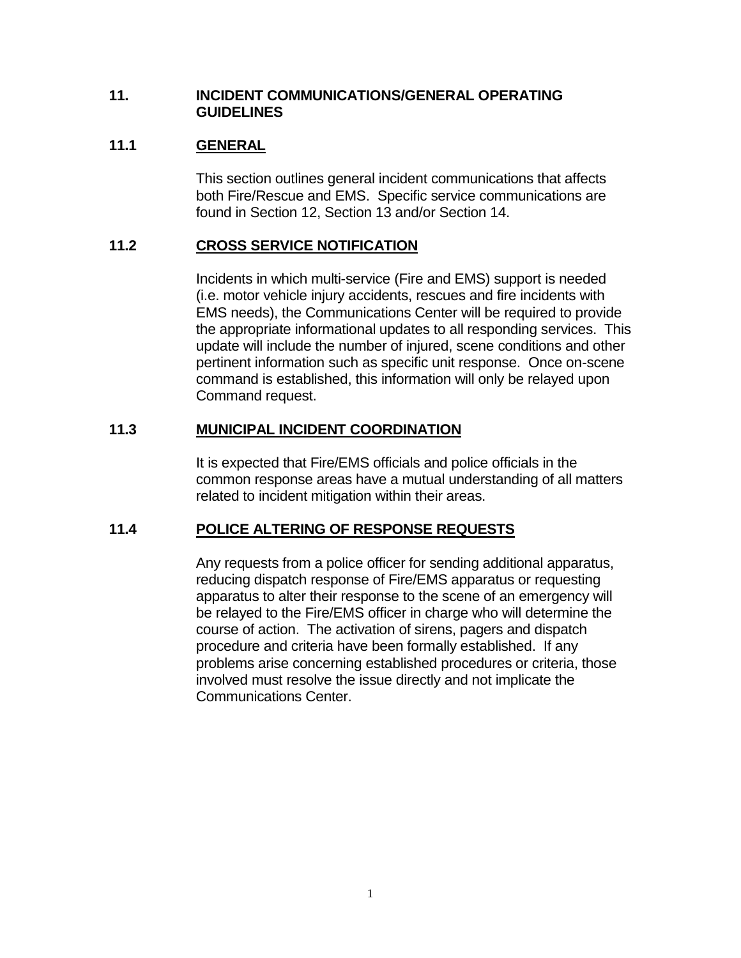#### **11. INCIDENT COMMUNICATIONS/GENERAL OPERATING GUIDELINES**

# **11.1 GENERAL**

This section outlines general incident communications that affects both Fire/Rescue and EMS. Specific service communications are found in Section 12, Section 13 and/or Section 14.

# **11.2 CROSS SERVICE NOTIFICATION**

Incidents in which multi-service (Fire and EMS) support is needed (i.e. motor vehicle injury accidents, rescues and fire incidents with EMS needs), the Communications Center will be required to provide the appropriate informational updates to all responding services. This update will include the number of injured, scene conditions and other pertinent information such as specific unit response. Once on-scene command is established, this information will only be relayed upon Command request.

# **11.3 MUNICIPAL INCIDENT COORDINATION**

It is expected that Fire/EMS officials and police officials in the common response areas have a mutual understanding of all matters related to incident mitigation within their areas.

# **11.4 POLICE ALTERING OF RESPONSE REQUESTS**

Any requests from a police officer for sending additional apparatus, reducing dispatch response of Fire/EMS apparatus or requesting apparatus to alter their response to the scene of an emergency will be relayed to the Fire/EMS officer in charge who will determine the course of action. The activation of sirens, pagers and dispatch procedure and criteria have been formally established. If any problems arise concerning established procedures or criteria, those involved must resolve the issue directly and not implicate the Communications Center.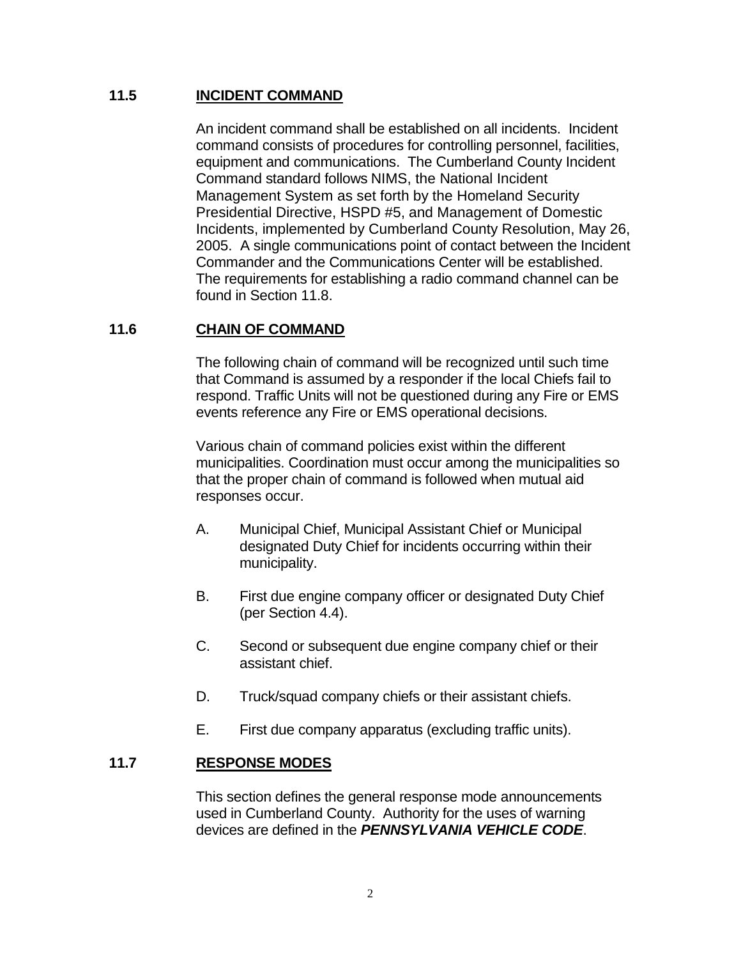## **11.5 INCIDENT COMMAND**

An incident command shall be established on all incidents. Incident command consists of procedures for controlling personnel, facilities, equipment and communications. The Cumberland County Incident Command standard follows NIMS, the National Incident Management System as set forth by the Homeland Security Presidential Directive, HSPD #5, and Management of Domestic Incidents, implemented by Cumberland County Resolution, May 26, 2005. A single communications point of contact between the Incident Commander and the Communications Center will be established. The requirements for establishing a radio command channel can be found in Section 11.8.

## **11.6 CHAIN OF COMMAND**

The following chain of command will be recognized until such time that Command is assumed by a responder if the local Chiefs fail to respond. Traffic Units will not be questioned during any Fire or EMS events reference any Fire or EMS operational decisions.

Various chain of command policies exist within the different municipalities. Coordination must occur among the municipalities so that the proper chain of command is followed when mutual aid responses occur.

- A. Municipal Chief, Municipal Assistant Chief or Municipal designated Duty Chief for incidents occurring within their municipality.
- B. First due engine company officer or designated Duty Chief (per Section 4.4).
- C. Second or subsequent due engine company chief or their assistant chief.
- D. Truck/squad company chiefs or their assistant chiefs.
- E. First due company apparatus (excluding traffic units).

### **11.7 RESPONSE MODES**

This section defines the general response mode announcements used in Cumberland County. Authority for the uses of warning devices are defined in the *PENNSYLVANIA VEHICLE CODE*.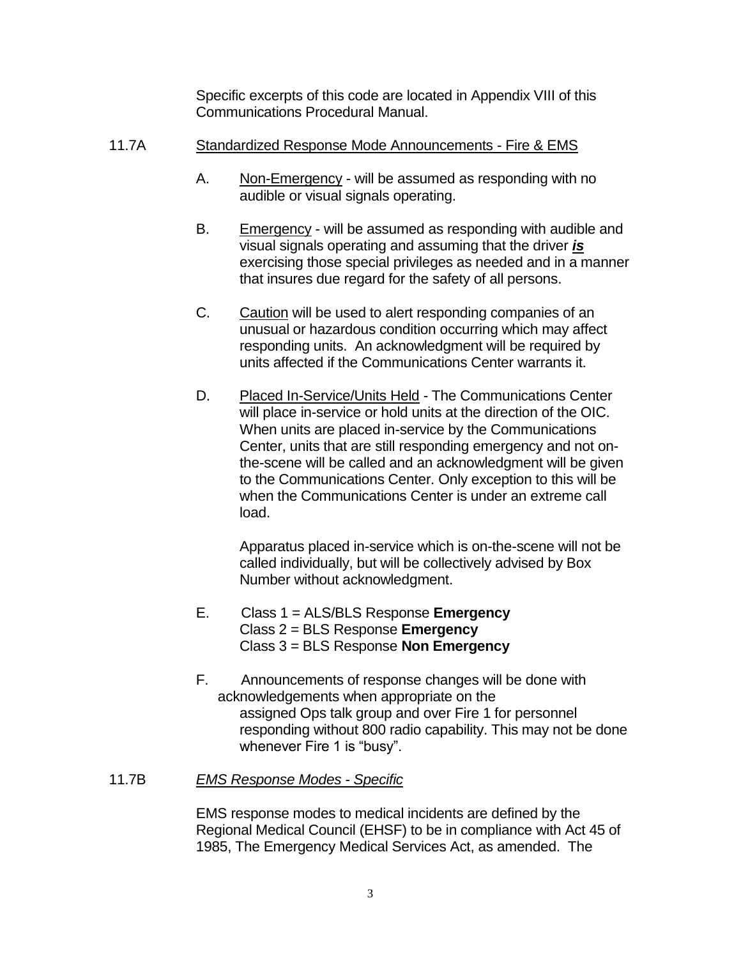Specific excerpts of this code are located in Appendix VIII of this Communications Procedural Manual.

## 11.7A Standardized Response Mode Announcements - Fire & EMS

- A. Non-Emergency will be assumed as responding with no audible or visual signals operating.
- B. Emergency will be assumed as responding with audible and visual signals operating and assuming that the driver *is* exercising those special privileges as needed and in a manner that insures due regard for the safety of all persons.
- C. Caution will be used to alert responding companies of an unusual or hazardous condition occurring which may affect responding units. An acknowledgment will be required by units affected if the Communications Center warrants it.
- D. Placed In-Service/Units Held The Communications Center will place in-service or hold units at the direction of the OIC. When units are placed in-service by the Communications Center, units that are still responding emergency and not onthe-scene will be called and an acknowledgment will be given to the Communications Center. Only exception to this will be when the Communications Center is under an extreme call load.

Apparatus placed in-service which is on-the-scene will not be called individually, but will be collectively advised by Box Number without acknowledgment.

- E. Class 1 = ALS/BLS Response **Emergency** Class 2 = BLS Response **Emergency** Class 3 = BLS Response **Non Emergency**
- F. Announcements of response changes will be done with acknowledgements when appropriate on the assigned Ops talk group and over Fire 1 for personnel responding without 800 radio capability. This may not be done whenever Fire 1 is "busy".

### 11.7B *EMS Response Modes - Specific*

EMS response modes to medical incidents are defined by the Regional Medical Council (EHSF) to be in compliance with Act 45 of 1985, The Emergency Medical Services Act, as amended. The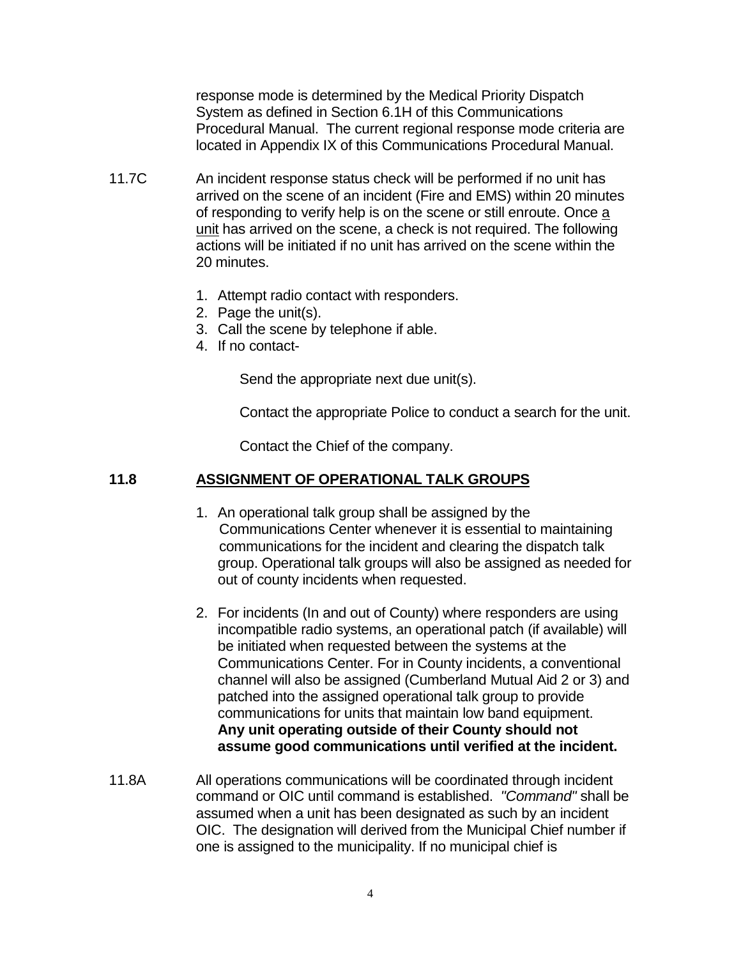response mode is determined by the Medical Priority Dispatch System as defined in Section 6.1H of this Communications Procedural Manual. The current regional response mode criteria are located in Appendix IX of this Communications Procedural Manual.

- 11.7CAn incident response status check will be performed if no unit has arrived on the scene of an incident (Fire and EMS) within 20 minutes of responding to verify help is on the scene or still enroute. Once a unit has arrived on the scene, a check is not required. The following actions will be initiated if no unit has arrived on the scene within the 20 minutes.
	- 1. Attempt radio contact with responders.
	- 2. Page the unit(s).
	- 3. Call the scene by telephone if able.
	- 4. If no contact-

Send the appropriate next due unit(s).

Contact the appropriate Police to conduct a search for the unit.

Contact the Chief of the company.

## **11.8 ASSIGNMENT OF OPERATIONAL TALK GROUPS**

- 1. An operational talk group shall be assigned by the Communications Center whenever it is essential to maintaining communications for the incident and clearing the dispatch talk group. Operational talk groups will also be assigned as needed for out of county incidents when requested.
- 2. For incidents (In and out of County) where responders are using incompatible radio systems, an operational patch (if available) will be initiated when requested between the systems at the Communications Center. For in County incidents, a conventional channel will also be assigned (Cumberland Mutual Aid 2 or 3) and patched into the assigned operational talk group to provide communications for units that maintain low band equipment. **Any unit operating outside of their County should not assume good communications until verified at the incident.**
- 11.8A All operations communications will be coordinated through incident command or OIC until command is established. *"Command"* shall be assumed when a unit has been designated as such by an incident OIC. The designation will derived from the Municipal Chief number if one is assigned to the municipality. If no municipal chief is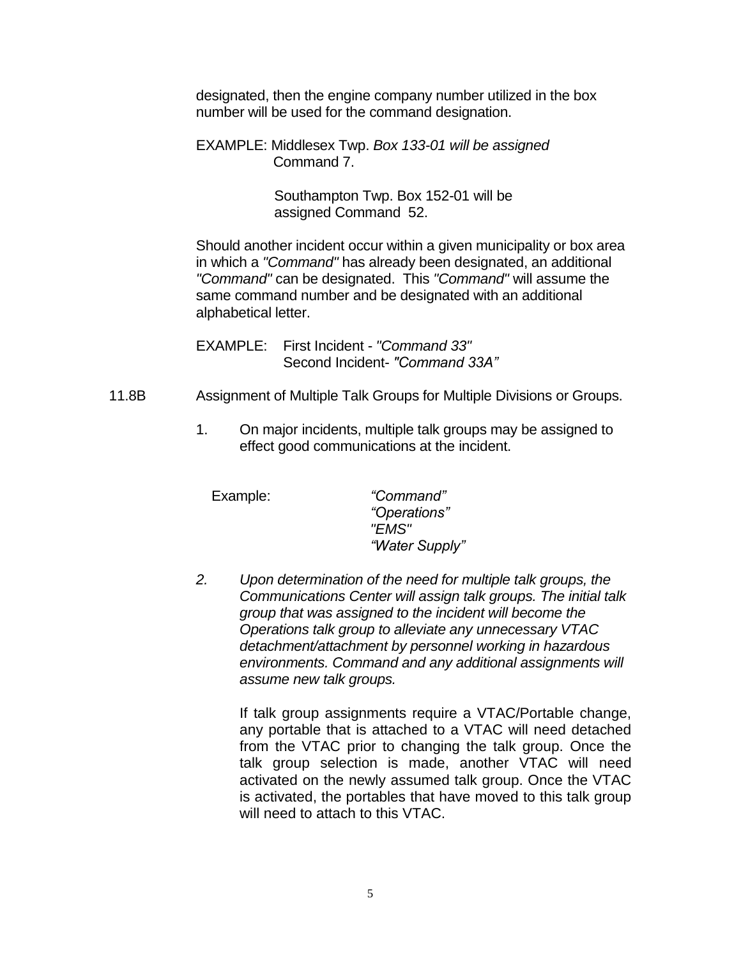designated, then the engine company number utilized in the box number will be used for the command designation.

EXAMPLE: Middlesex Twp. *Box 133-01 will be assigned* Command 7.

> Southampton Twp. Box 152-01 will be assigned Command 52.

Should another incident occur within a given municipality or box area in which a *"Command"* has already been designated, an additional *"Command"* can be designated. This *"Command"* will assume the same command number and be designated with an additional alphabetical letter.

EXAMPLE: First Incident - *"Command 33"* Second Incident- *"Command 33A"*

- 11.8B Assignment of Multiple Talk Groups for Multiple Divisions or Groups.
	- 1. On major incidents, multiple talk groups may be assigned to effect good communications at the incident.

 Example: *"Command" "Operations" "EMS" "Water Supply"*

*2. Upon determination of the need for multiple talk groups, the Communications Center will assign talk groups. The initial talk group that was assigned to the incident will become the Operations talk group to alleviate any unnecessary VTAC detachment/attachment by personnel working in hazardous environments. Command and any additional assignments will assume new talk groups.*

> If talk group assignments require a VTAC/Portable change, any portable that is attached to a VTAC will need detached from the VTAC prior to changing the talk group. Once the talk group selection is made, another VTAC will need activated on the newly assumed talk group. Once the VTAC is activated, the portables that have moved to this talk group will need to attach to this VTAC.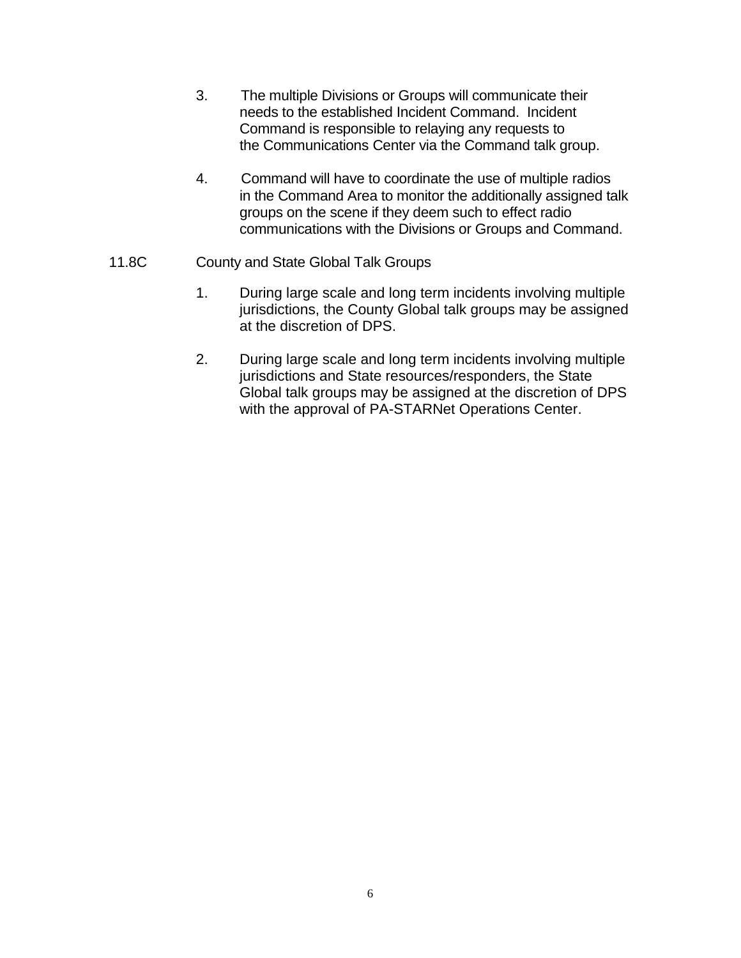- 3. The multiple Divisions or Groups will communicate their needs to the established Incident Command. Incident Command is responsible to relaying any requests to the Communications Center via the Command talk group.
- 4. Command will have to coordinate the use of multiple radios in the Command Area to monitor the additionally assigned talk groups on the scene if they deem such to effect radio communications with the Divisions or Groups and Command.
- 11.8C County and State Global Talk Groups
	- 1. During large scale and long term incidents involving multiple jurisdictions, the County Global talk groups may be assigned at the discretion of DPS.
	- 2. During large scale and long term incidents involving multiple jurisdictions and State resources/responders, the State Global talk groups may be assigned at the discretion of DPS with the approval of PA-STARNet Operations Center.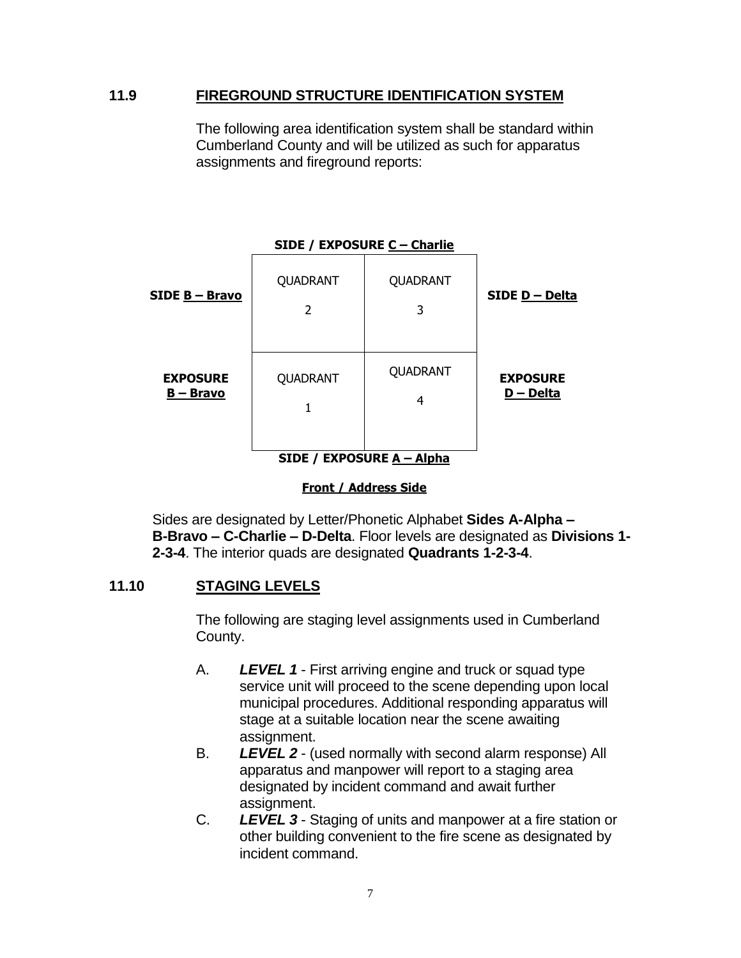### **11.9 FIREGROUND STRUCTURE IDENTIFICATION SYSTEM**

The following area identification system shall be standard within Cumberland County and will be utilized as such for apparatus assignments and fireground reports:

| SIDE / EXPOSURE C - Charlie         |               |               |                              |
|-------------------------------------|---------------|---------------|------------------------------|
| SIDE B-Bravo                        | QUADRANT<br>2 | QUADRANT<br>3 | SIDE D - Delta               |
| <b>EXPOSURE</b><br><u>B – Bravo</u> | QUADRANT<br>1 | QUADRANT<br>4 | <b>EXPOSURE</b><br>D - Delta |
| SIDE / EXPOSURE A - Alpha           |               |               |                              |

#### **Front / Address Side**

Sides are designated by Letter/Phonetic Alphabet **Sides A-Alpha – B-Bravo – C-Charlie – D-Delta**. Floor levels are designated as **Divisions 1- 2-3-4**. The interior quads are designated **Quadrants 1-2-3-4**.

#### **11.10 STAGING LEVELS**

The following are staging level assignments used in Cumberland County.

- A. *LEVEL 1* First arriving engine and truck or squad type service unit will proceed to the scene depending upon local municipal procedures. Additional responding apparatus will stage at a suitable location near the scene awaiting assignment.
- B. *LEVEL 2*  (used normally with second alarm response) All apparatus and manpower will report to a staging area designated by incident command and await further assignment.
- C. *LEVEL 3*  Staging of units and manpower at a fire station or other building convenient to the fire scene as designated by incident command.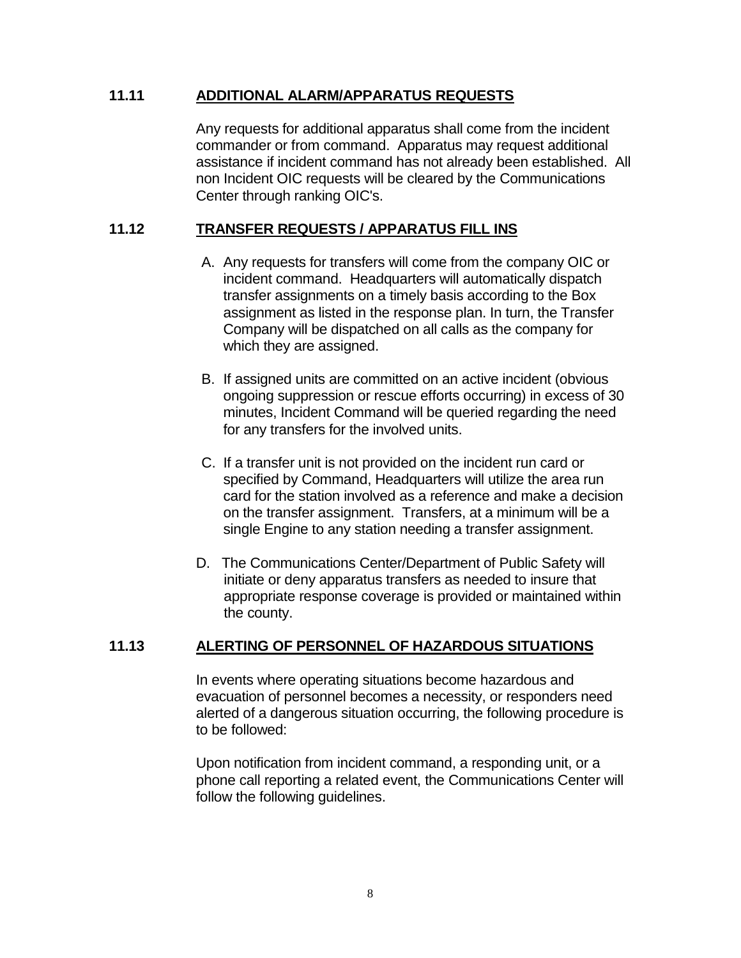### **11.11 ADDITIONAL ALARM/APPARATUS REQUESTS**

Any requests for additional apparatus shall come from the incident commander or from command. Apparatus may request additional assistance if incident command has not already been established. All non Incident OIC requests will be cleared by the Communications Center through ranking OIC's.

## **11.12 TRANSFER REQUESTS / APPARATUS FILL INS**

- A. Any requests for transfers will come from the company OIC or incident command. Headquarters will automatically dispatch transfer assignments on a timely basis according to the Box assignment as listed in the response plan. In turn, the Transfer Company will be dispatched on all calls as the company for which they are assigned.
- B. If assigned units are committed on an active incident (obvious ongoing suppression or rescue efforts occurring) in excess of 30 minutes, Incident Command will be queried regarding the need for any transfers for the involved units.
- C. If a transfer unit is not provided on the incident run card or specified by Command, Headquarters will utilize the area run card for the station involved as a reference and make a decision on the transfer assignment. Transfers, at a minimum will be a single Engine to any station needing a transfer assignment.
- D. The Communications Center/Department of Public Safety will initiate or deny apparatus transfers as needed to insure that appropriate response coverage is provided or maintained within the county.

### **11.13 ALERTING OF PERSONNEL OF HAZARDOUS SITUATIONS**

In events where operating situations become hazardous and evacuation of personnel becomes a necessity, or responders need alerted of a dangerous situation occurring, the following procedure is to be followed:

Upon notification from incident command, a responding unit, or a phone call reporting a related event, the Communications Center will follow the following guidelines.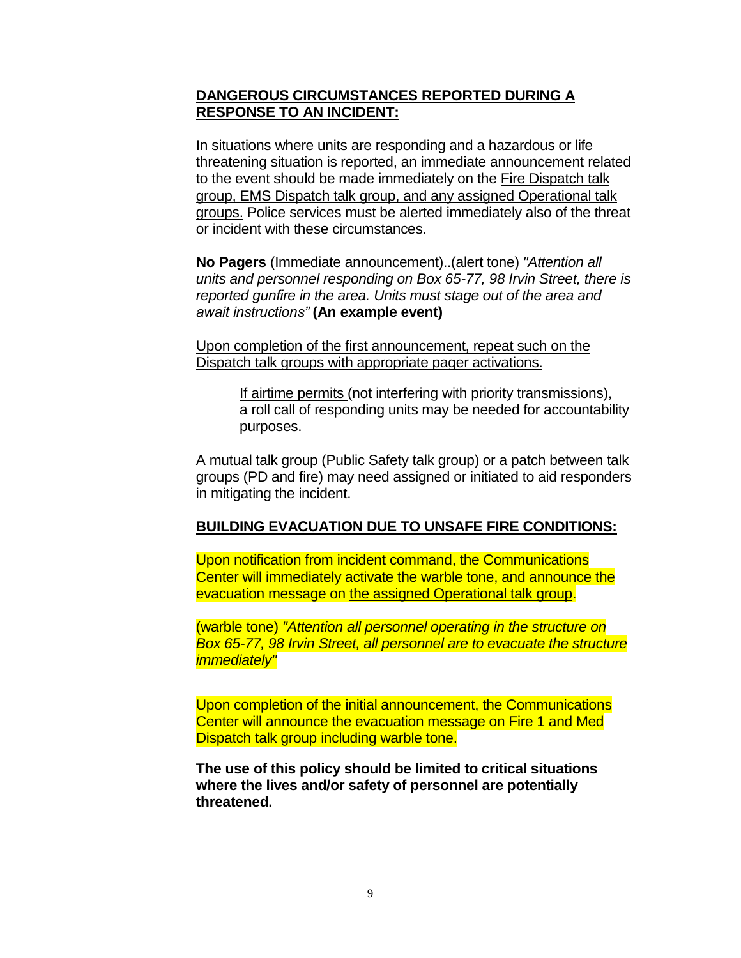### **DANGEROUS CIRCUMSTANCES REPORTED DURING A RESPONSE TO AN INCIDENT:**

In situations where units are responding and a hazardous or life threatening situation is reported, an immediate announcement related to the event should be made immediately on the Fire Dispatch talk group, EMS Dispatch talk group, and any assigned Operational talk groups. Police services must be alerted immediately also of the threat or incident with these circumstances.

**No Pagers** (Immediate announcement)..(alert tone) *"Attention all units and personnel responding on Box 65-77, 98 Irvin Street, there is reported gunfire in the area. Units must stage out of the area and await instructions"* **(An example event)**

Upon completion of the first announcement, repeat such on the Dispatch talk groups with appropriate pager activations.

> If airtime permits (not interfering with priority transmissions), a roll call of responding units may be needed for accountability purposes.

A mutual talk group (Public Safety talk group) or a patch between talk groups (PD and fire) may need assigned or initiated to aid responders in mitigating the incident.

### **BUILDING EVACUATION DUE TO UNSAFE FIRE CONDITIONS:**

Upon notification from incident command, the Communications Center will immediately activate the warble tone, and announce the evacuation message on the assigned Operational talk group.

(warble tone) *"Attention all personnel operating in the structure on Box 65-77, 98 Irvin Street, all personnel are to evacuate the structure immediately"*

Upon completion of the initial announcement, the Communications Center will announce the evacuation message on Fire 1 and Med Dispatch talk group including warble tone.

**The use of this policy should be limited to critical situations where the lives and/or safety of personnel are potentially threatened.**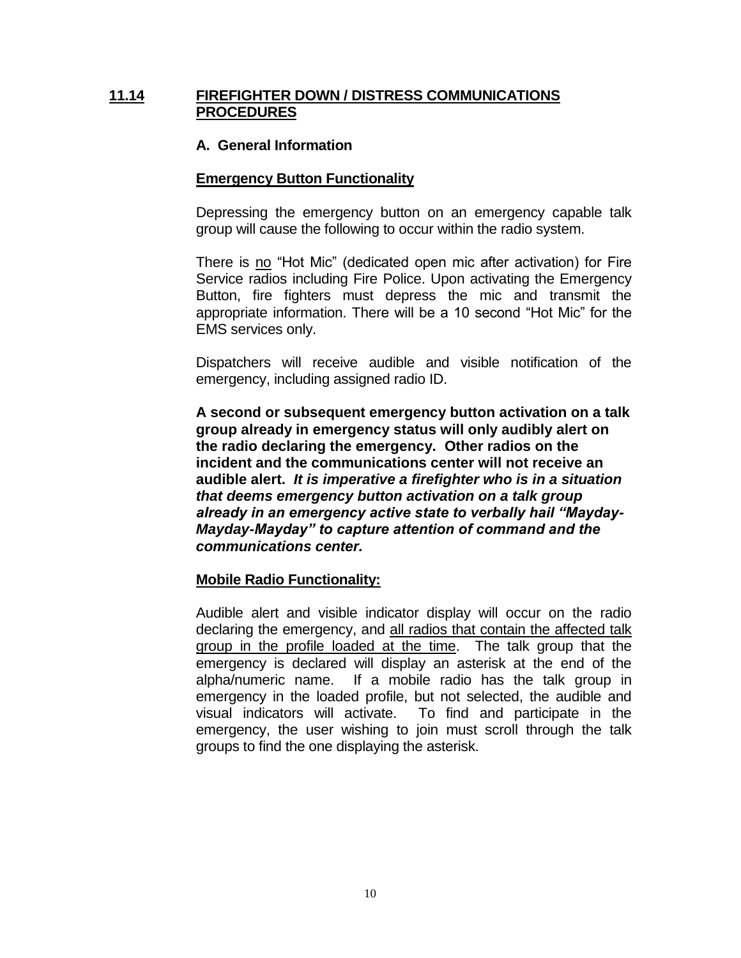### **11.14 FIREFIGHTER DOWN / DISTRESS COMMUNICATIONS PROCEDURES**

### **A. General Information**

#### **Emergency Button Functionality**

Depressing the emergency button on an emergency capable talk group will cause the following to occur within the radio system.

There is no "Hot Mic" (dedicated open mic after activation) for Fire Service radios including Fire Police. Upon activating the Emergency Button, fire fighters must depress the mic and transmit the appropriate information. There will be a 10 second "Hot Mic" for the EMS services only.

Dispatchers will receive audible and visible notification of the emergency, including assigned radio ID.

**A second or subsequent emergency button activation on a talk group already in emergency status will only audibly alert on the radio declaring the emergency. Other radios on the incident and the communications center will not receive an audible alert.** *It is imperative a firefighter who is in a situation that deems emergency button activation on a talk group already in an emergency active state to verbally hail "Mayday-Mayday-Mayday" to capture attention of command and the communications center.* 

#### **Mobile Radio Functionality:**

Audible alert and visible indicator display will occur on the radio declaring the emergency, and all radios that contain the affected talk group in the profile loaded at the time. The talk group that the emergency is declared will display an asterisk at the end of the alpha/numeric name. If a mobile radio has the talk group in emergency in the loaded profile, but not selected, the audible and visual indicators will activate. To find and participate in the emergency, the user wishing to join must scroll through the talk groups to find the one displaying the asterisk.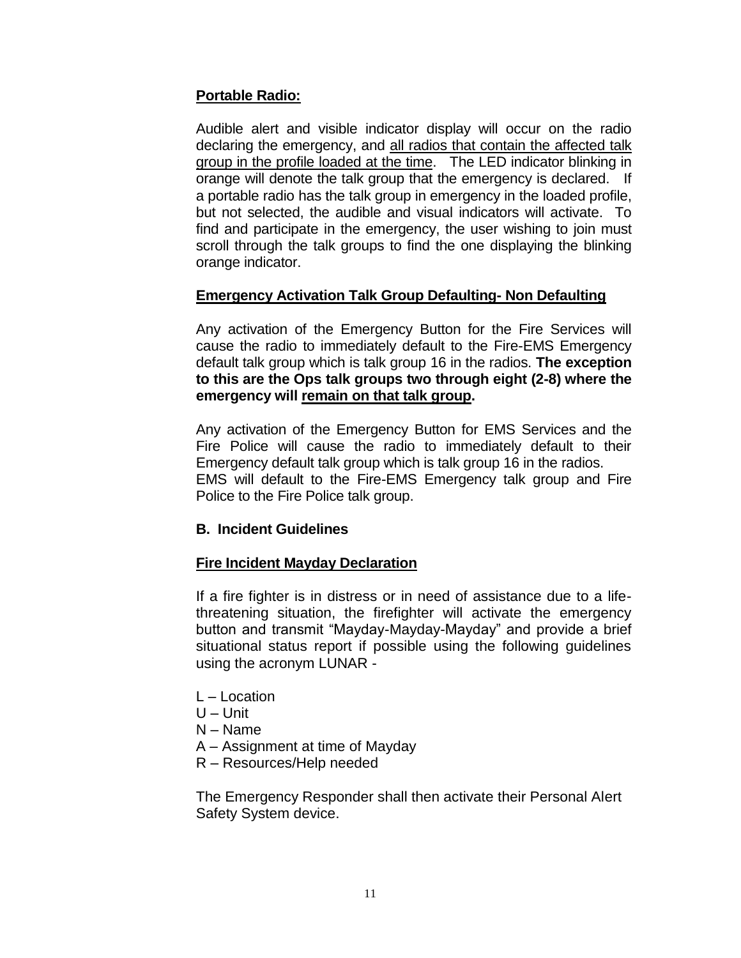## **Portable Radio:**

Audible alert and visible indicator display will occur on the radio declaring the emergency, and all radios that contain the affected talk group in the profile loaded at the time. The LED indicator blinking in orange will denote the talk group that the emergency is declared. If a portable radio has the talk group in emergency in the loaded profile, but not selected, the audible and visual indicators will activate. To find and participate in the emergency, the user wishing to join must scroll through the talk groups to find the one displaying the blinking orange indicator.

### **Emergency Activation Talk Group Defaulting- Non Defaulting**

Any activation of the Emergency Button for the Fire Services will cause the radio to immediately default to the Fire-EMS Emergency default talk group which is talk group 16 in the radios. **The exception to this are the Ops talk groups two through eight (2-8) where the emergency will remain on that talk group.**

Any activation of the Emergency Button for EMS Services and the Fire Police will cause the radio to immediately default to their Emergency default talk group which is talk group 16 in the radios. EMS will default to the Fire-EMS Emergency talk group and Fire Police to the Fire Police talk group.

### **B. Incident Guidelines**

### **Fire Incident Mayday Declaration**

If a fire fighter is in distress or in need of assistance due to a lifethreatening situation, the firefighter will activate the emergency button and transmit "Mayday-Mayday-Mayday" and provide a brief situational status report if possible using the following guidelines using the acronym LUNAR -

- L Location
- U Unit
- N Name
- A Assignment at time of Mayday
- R Resources/Help needed

The Emergency Responder shall then activate their Personal Alert Safety System device.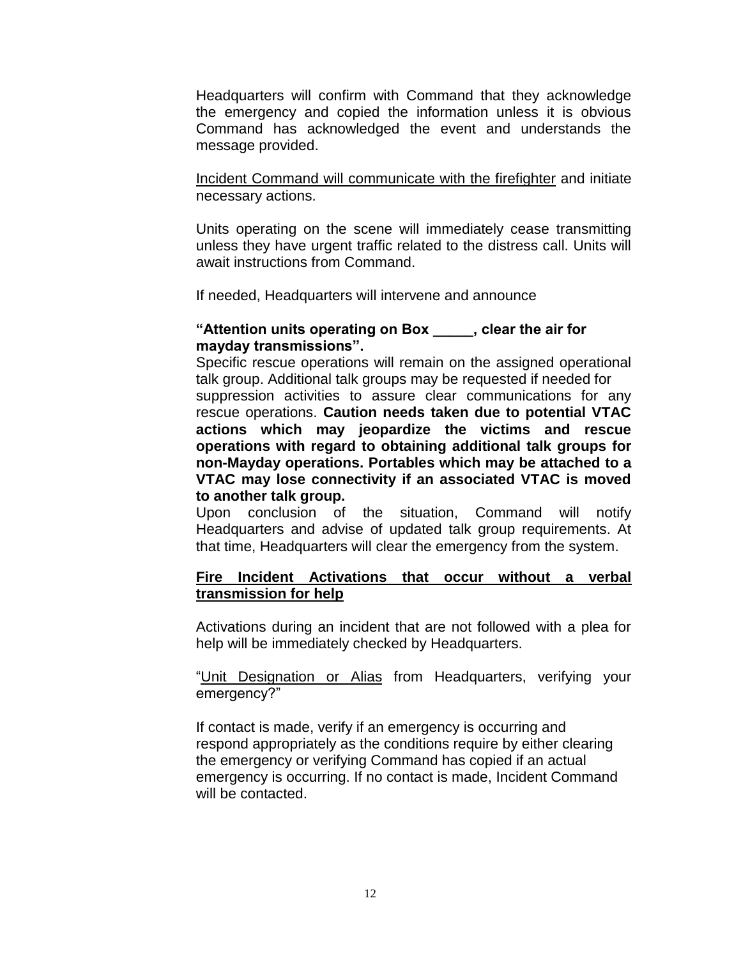Headquarters will confirm with Command that they acknowledge the emergency and copied the information unless it is obvious Command has acknowledged the event and understands the message provided.

Incident Command will communicate with the firefighter and initiate necessary actions.

Units operating on the scene will immediately cease transmitting unless they have urgent traffic related to the distress call. Units will await instructions from Command.

If needed, Headquarters will intervene and announce

#### **"Attention units operating on Box \_\_\_\_\_, clear the air for mayday transmissions".**

Specific rescue operations will remain on the assigned operational talk group. Additional talk groups may be requested if needed for suppression activities to assure clear communications for any rescue operations. **Caution needs taken due to potential VTAC actions which may jeopardize the victims and rescue operations with regard to obtaining additional talk groups for non-Mayday operations. Portables which may be attached to a VTAC may lose connectivity if an associated VTAC is moved to another talk group.**

Upon conclusion of the situation, Command will notify Headquarters and advise of updated talk group requirements. At that time, Headquarters will clear the emergency from the system.

### **Fire Incident Activations that occur without a verbal transmission for help**

Activations during an incident that are not followed with a plea for help will be immediately checked by Headquarters.

"Unit Designation or Alias from Headquarters, verifying your emergency?"

If contact is made, verify if an emergency is occurring and respond appropriately as the conditions require by either clearing the emergency or verifying Command has copied if an actual emergency is occurring. If no contact is made, Incident Command will be contacted.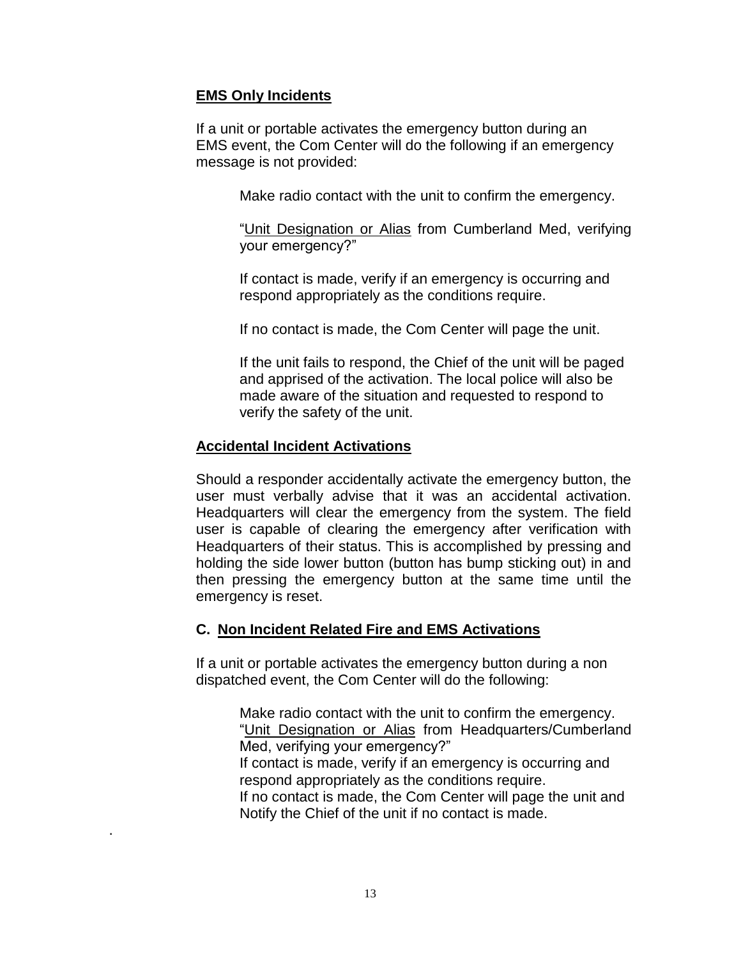### **EMS Only Incidents**

If a unit or portable activates the emergency button during an EMS event, the Com Center will do the following if an emergency message is not provided:

Make radio contact with the unit to confirm the emergency.

"Unit Designation or Alias from Cumberland Med, verifying your emergency?"

If contact is made, verify if an emergency is occurring and respond appropriately as the conditions require.

If no contact is made, the Com Center will page the unit.

If the unit fails to respond, the Chief of the unit will be paged and apprised of the activation. The local police will also be made aware of the situation and requested to respond to verify the safety of the unit.

### **Accidental Incident Activations**

.

Should a responder accidentally activate the emergency button, the user must verbally advise that it was an accidental activation. Headquarters will clear the emergency from the system. The field user is capable of clearing the emergency after verification with Headquarters of their status. This is accomplished by pressing and holding the side lower button (button has bump sticking out) in and then pressing the emergency button at the same time until the emergency is reset.

#### **C. Non Incident Related Fire and EMS Activations**

If a unit or portable activates the emergency button during a non dispatched event, the Com Center will do the following:

> Make radio contact with the unit to confirm the emergency. "Unit Designation or Alias from Headquarters/Cumberland Med, verifying your emergency?" If contact is made, verify if an emergency is occurring and respond appropriately as the conditions require.

If no contact is made, the Com Center will page the unit and Notify the Chief of the unit if no contact is made.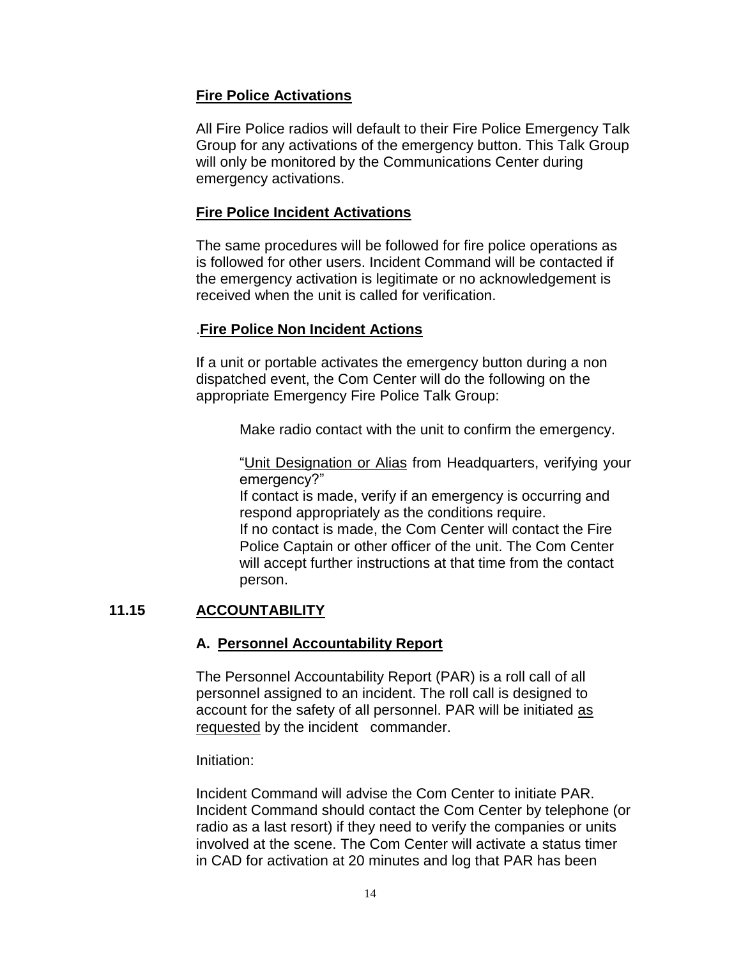### **Fire Police Activations**

All Fire Police radios will default to their Fire Police Emergency Talk Group for any activations of the emergency button. This Talk Group will only be monitored by the Communications Center during emergency activations.

### **Fire Police Incident Activations**

The same procedures will be followed for fire police operations as is followed for other users. Incident Command will be contacted if the emergency activation is legitimate or no acknowledgement is received when the unit is called for verification.

## .**Fire Police Non Incident Actions**

If a unit or portable activates the emergency button during a non dispatched event, the Com Center will do the following on the appropriate Emergency Fire Police Talk Group:

Make radio contact with the unit to confirm the emergency.

"Unit Designation or Alias from Headquarters, verifying your emergency?"

If contact is made, verify if an emergency is occurring and respond appropriately as the conditions require. If no contact is made, the Com Center will contact the Fire Police Captain or other officer of the unit. The Com Center will accept further instructions at that time from the contact person.

# **11.15 ACCOUNTABILITY**

# **A. Personnel Accountability Report**

The Personnel Accountability Report (PAR) is a roll call of all personnel assigned to an incident. The roll call is designed to account for the safety of all personnel. PAR will be initiated as requested by the incident commander.

Initiation:

Incident Command will advise the Com Center to initiate PAR. Incident Command should contact the Com Center by telephone (or radio as a last resort) if they need to verify the companies or units involved at the scene. The Com Center will activate a status timer in CAD for activation at 20 minutes and log that PAR has been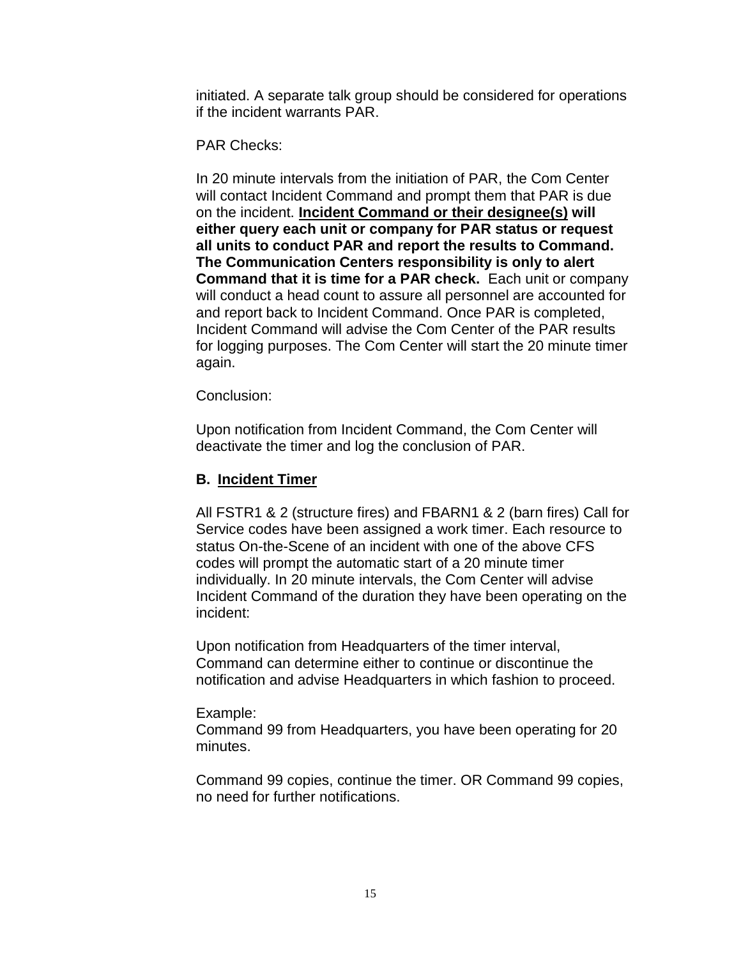initiated. A separate talk group should be considered for operations if the incident warrants PAR.

PAR Checks:

In 20 minute intervals from the initiation of PAR, the Com Center will contact Incident Command and prompt them that PAR is due on the incident. **Incident Command or their designee(s) will either query each unit or company for PAR status or request all units to conduct PAR and report the results to Command. The Communication Centers responsibility is only to alert Command that it is time for a PAR check.** Each unit or company will conduct a head count to assure all personnel are accounted for and report back to Incident Command. Once PAR is completed, Incident Command will advise the Com Center of the PAR results for logging purposes. The Com Center will start the 20 minute timer again.

Conclusion:

Upon notification from Incident Command, the Com Center will deactivate the timer and log the conclusion of PAR.

### **B. Incident Timer**

All FSTR1 & 2 (structure fires) and FBARN1 & 2 (barn fires) Call for Service codes have been assigned a work timer. Each resource to status On-the-Scene of an incident with one of the above CFS codes will prompt the automatic start of a 20 minute timer individually. In 20 minute intervals, the Com Center will advise Incident Command of the duration they have been operating on the incident:

Upon notification from Headquarters of the timer interval, Command can determine either to continue or discontinue the notification and advise Headquarters in which fashion to proceed.

#### Example:

Command 99 from Headquarters, you have been operating for 20 minutes.

Command 99 copies, continue the timer. OR Command 99 copies, no need for further notifications.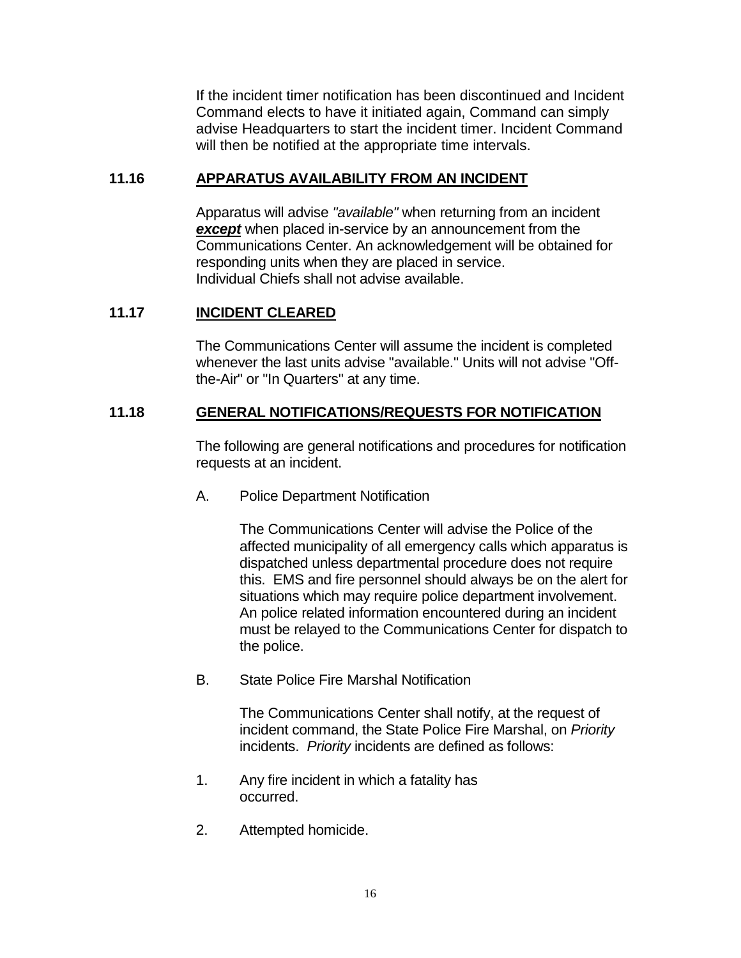If the incident timer notification has been discontinued and Incident Command elects to have it initiated again, Command can simply advise Headquarters to start the incident timer. Incident Command will then be notified at the appropriate time intervals.

### **11.16 APPARATUS AVAILABILITY FROM AN INCIDENT**

Apparatus will advise *"available"* when returning from an incident *except* when placed in-service by an announcement from the Communications Center. An acknowledgement will be obtained for responding units when they are placed in service. Individual Chiefs shall not advise available.

# **11.17 INCIDENT CLEARED**

The Communications Center will assume the incident is completed whenever the last units advise "available." Units will not advise "Offthe-Air" or "In Quarters" at any time.

## **11.18 GENERAL NOTIFICATIONS/REQUESTS FOR NOTIFICATION**

The following are general notifications and procedures for notification requests at an incident.

A. Police Department Notification

The Communications Center will advise the Police of the affected municipality of all emergency calls which apparatus is dispatched unless departmental procedure does not require this. EMS and fire personnel should always be on the alert for situations which may require police department involvement. An police related information encountered during an incident must be relayed to the Communications Center for dispatch to the police.

B. State Police Fire Marshal Notification

The Communications Center shall notify, at the request of incident command, the State Police Fire Marshal, on *Priority*  incidents. *Priority* incidents are defined as follows:

- 1. Any fire incident in which a fatality has occurred.
- 2. Attempted homicide.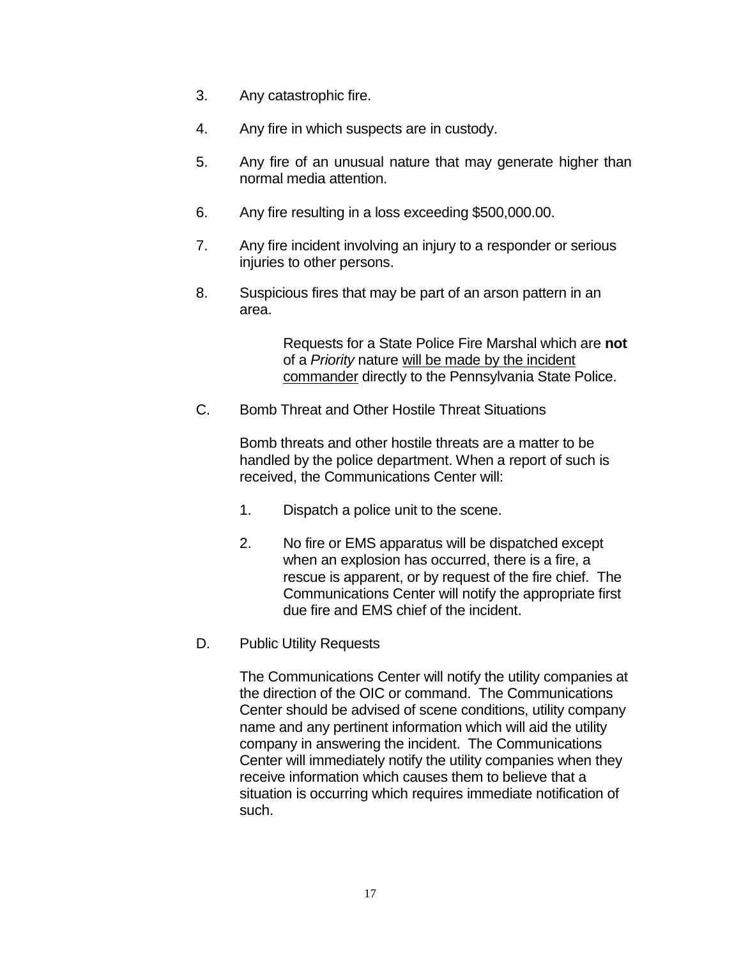- 3. Any catastrophic fire.
- 4. Any fire in which suspects are in custody.
- 5. Any fire of an unusual nature that may generate higher than normal media attention.
- 6. Any fire resulting in a loss exceeding \$500,000.00.
- 7. Any fire incident involving an injury to a responder or serious injuries to other persons.
- 8. Suspicious fires that may be part of an arson pattern in an area.

Requests for a State Police Fire Marshal which are **not** of a *Priority* nature will be made by the incident commander directly to the Pennsylvania State Police.

C. Bomb Threat and Other Hostile Threat Situations

Bomb threats and other hostile threats are a matter to be handled by the police department. When a report of such is received, the Communications Center will:

- 1. Dispatch a police unit to the scene.
- 2. No fire or EMS apparatus will be dispatched except when an explosion has occurred, there is a fire, a rescue is apparent, or by request of the fire chief. The Communications Center will notify the appropriate first due fire and EMS chief of the incident.
- D. Public Utility Requests

The Communications Center will notify the utility companies at the direction of the OIC or command. The Communications Center should be advised of scene conditions, utility company name and any pertinent information which will aid the utility company in answering the incident. The Communications Center will immediately notify the utility companies when they receive information which causes them to believe that a situation is occurring which requires immediate notification of such.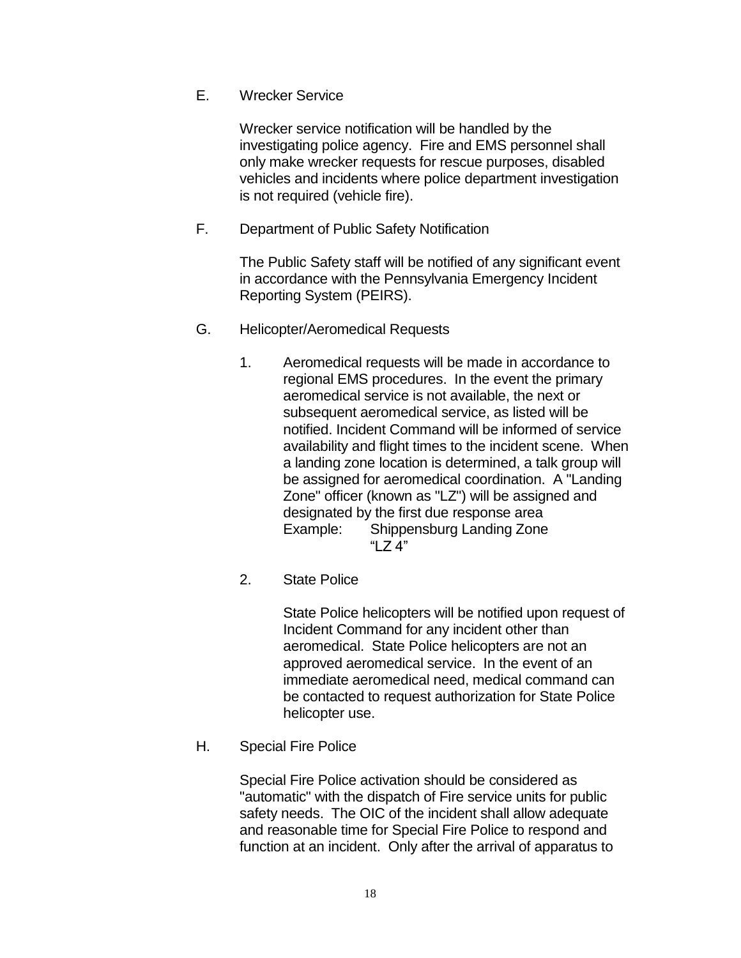E. Wrecker Service

Wrecker service notification will be handled by the investigating police agency. Fire and EMS personnel shall only make wrecker requests for rescue purposes, disabled vehicles and incidents where police department investigation is not required (vehicle fire).

F. Department of Public Safety Notification

The Public Safety staff will be notified of any significant event in accordance with the Pennsylvania Emergency Incident Reporting System (PEIRS).

- G. Helicopter/Aeromedical Requests
	- 1. Aeromedical requests will be made in accordance to regional EMS procedures. In the event the primary aeromedical service is not available, the next or subsequent aeromedical service, as listed will be notified. Incident Command will be informed of service availability and flight times to the incident scene. When a landing zone location is determined, a talk group will be assigned for aeromedical coordination. A "Landing Zone" officer (known as "LZ") will be assigned and designated by the first due response area Example: Shippensburg Landing Zone "LZ 4"
	- 2. State Police

State Police helicopters will be notified upon request of Incident Command for any incident other than aeromedical. State Police helicopters are not an approved aeromedical service. In the event of an immediate aeromedical need, medical command can be contacted to request authorization for State Police helicopter use.

H. Special Fire Police

Special Fire Police activation should be considered as "automatic" with the dispatch of Fire service units for public safety needs. The OIC of the incident shall allow adequate and reasonable time for Special Fire Police to respond and function at an incident. Only after the arrival of apparatus to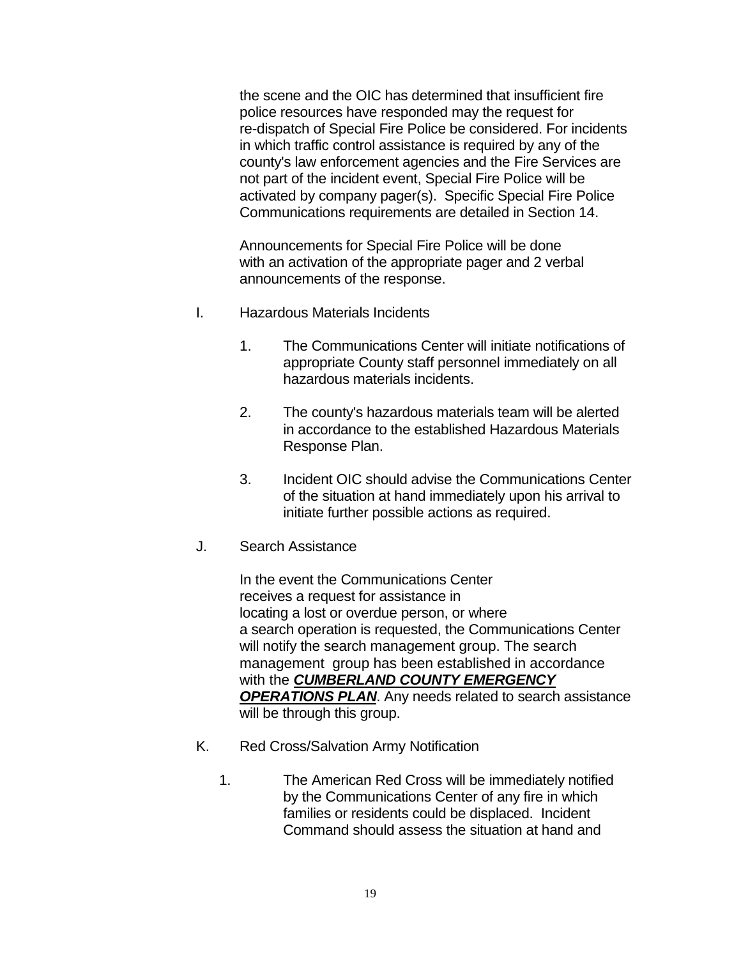the scene and the OIC has determined that insufficient fire police resources have responded may the request for re-dispatch of Special Fire Police be considered. For incidents in which traffic control assistance is required by any of the county's law enforcement agencies and the Fire Services are not part of the incident event, Special Fire Police will be activated by company pager(s). Specific Special Fire Police Communications requirements are detailed in Section 14.

Announcements for Special Fire Police will be done with an activation of the appropriate pager and 2 verbal announcements of the response.

- I. Hazardous Materials Incidents
	- 1. The Communications Center will initiate notifications of appropriate County staff personnel immediately on all hazardous materials incidents.
	- 2. The county's hazardous materials team will be alerted in accordance to the established Hazardous Materials Response Plan.
	- 3. Incident OIC should advise the Communications Center of the situation at hand immediately upon his arrival to initiate further possible actions as required.
- J. Search Assistance

In the event the Communications Center receives a request for assistance in locating a lost or overdue person, or where a search operation is requested, the Communications Center will notify the search management group. The search management group has been established in accordance with the *CUMBERLAND COUNTY EMERGENCY OPERATIONS PLAN*. Any needs related to search assistance will be through this group.

- K. Red Cross/Salvation Army Notification
	- 1. The American Red Cross will be immediately notified by the Communications Center of any fire in which families or residents could be displaced. Incident Command should assess the situation at hand and